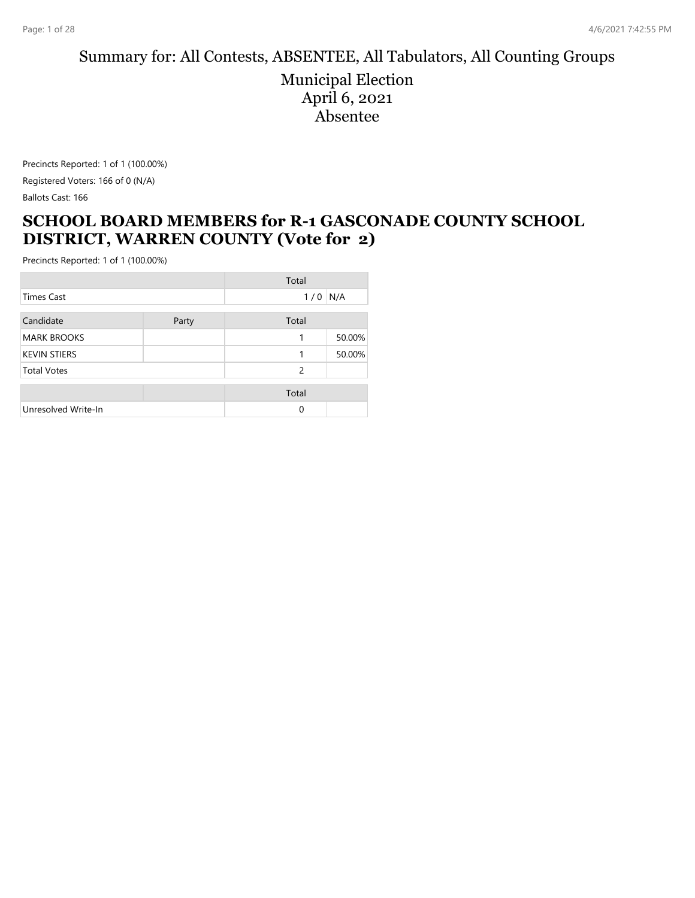# Summary for: All Contests, ABSENTEE, All Tabulators, All Counting Groups

Municipal Election April 6, 2021 Absentee

Precincts Reported: 1 of 1 (100.00%) Registered Voters: 166 of 0 (N/A) Ballots Cast: 166

#### **SCHOOL BOARD MEMBERS for R-1 GASCONADE COUNTY SCHOOL DISTRICT, WARREN COUNTY (Vote for 2)**

|                     |       | Total         |        |
|---------------------|-------|---------------|--------|
| Times Cast          |       | $1/0$ N/A     |        |
| Candidate           | Party | Total         |        |
| <b>MARK BROOKS</b>  |       | 1             | 50.00% |
| <b>KEVIN STIERS</b> |       |               | 50.00% |
| <b>Total Votes</b>  |       | $\mathcal{P}$ |        |
|                     |       | Total         |        |
| Unresolved Write-In |       | 0             |        |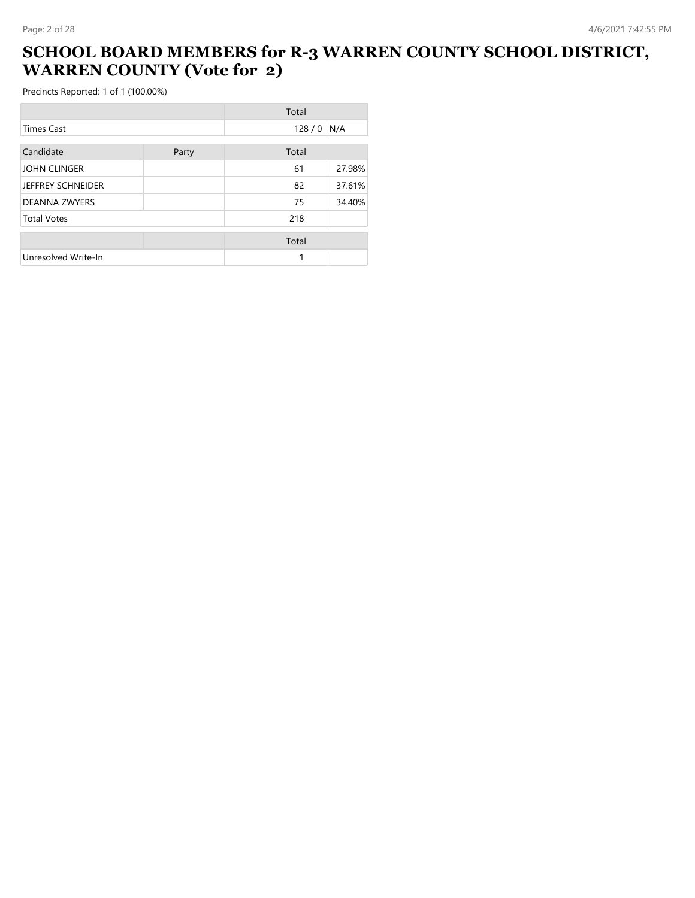#### **SCHOOL BOARD MEMBERS for R-3 WARREN COUNTY SCHOOL DISTRICT, WARREN COUNTY (Vote for 2)**

|                      |       | Total |        |
|----------------------|-------|-------|--------|
| <b>Times Cast</b>    |       | 128/0 | N/A    |
| Candidate            | Party | Total |        |
| <b>JOHN CLINGER</b>  |       | 61    | 27.98% |
| JEFFREY SCHNEIDER    |       | 82    | 37.61% |
| <b>DEANNA ZWYERS</b> |       | 75    | 34.40% |
| <b>Total Votes</b>   |       | 218   |        |
|                      |       | Total |        |
| Unresolved Write-In  |       |       |        |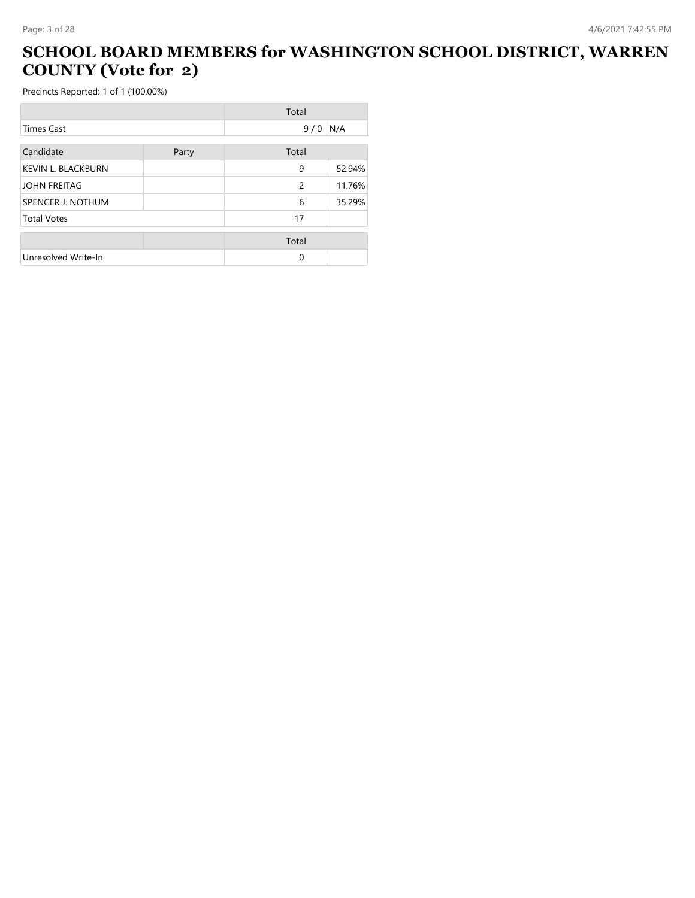## **SCHOOL BOARD MEMBERS for WASHINGTON SCHOOL DISTRICT, WARREN COUNTY (Vote for 2)**

-

|                           |       | Total         |        |
|---------------------------|-------|---------------|--------|
| <b>Times Cast</b>         |       | 9/0           | N/A    |
| Candidate                 | Party | Total         |        |
| <b>KEVIN L. BLACKBURN</b> |       | 9             | 52.94% |
| <b>JOHN FREITAG</b>       |       | $\mathcal{P}$ | 11.76% |
| SPENCER J. NOTHUM         |       | 6             | 35.29% |
| <b>Total Votes</b>        |       | 17            |        |
|                           |       | Total         |        |
| Unresolved Write-In       |       | 0             |        |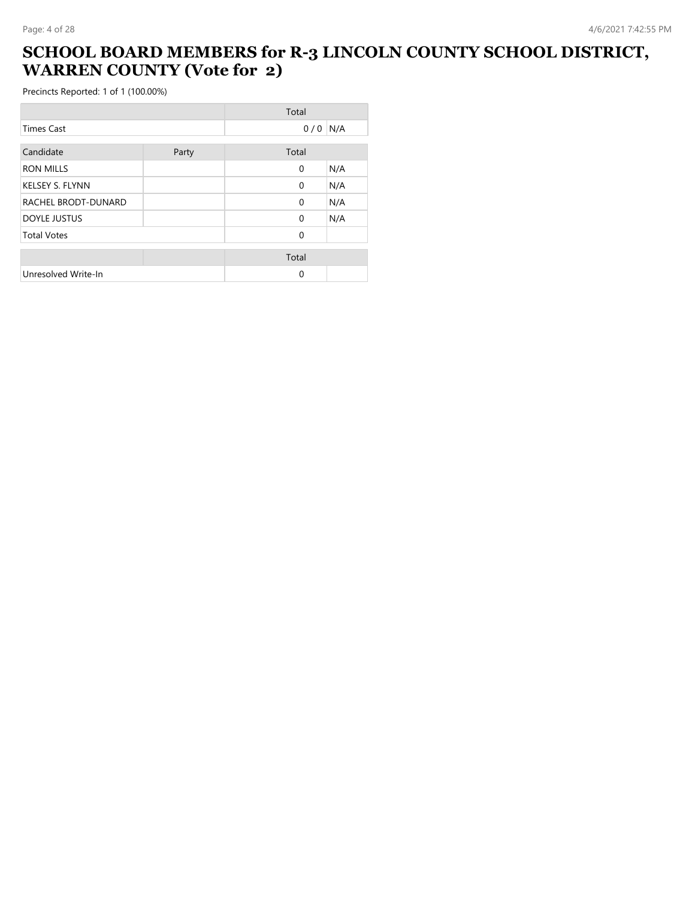#### **SCHOOL BOARD MEMBERS for R-3 LINCOLN COUNTY SCHOOL DISTRICT, WARREN COUNTY (Vote for 2)**

|                        |       | Total        |     |
|------------------------|-------|--------------|-----|
| <b>Times Cast</b>      |       | 0/0          | N/A |
| Candidate              | Party | Total        |     |
| <b>RON MILLS</b>       |       | $\mathbf{0}$ | N/A |
| <b>KELSEY S. FLYNN</b> |       | $\Omega$     | N/A |
| RACHEL BRODT-DUNARD    |       | $\Omega$     | N/A |
| <b>DOYLE JUSTUS</b>    |       | $\Omega$     | N/A |
| <b>Total Votes</b>     |       | $\Omega$     |     |
|                        |       | Total        |     |
| Unresolved Write-In    |       | $\Omega$     |     |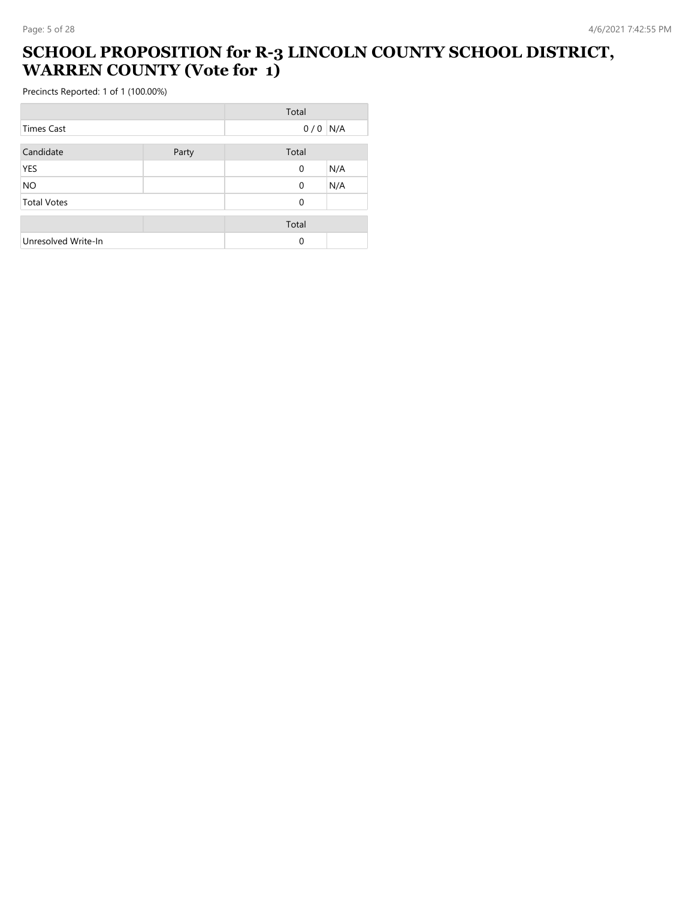#### **SCHOOL PROPOSITION for R-3 LINCOLN COUNTY SCHOOL DISTRICT, WARREN COUNTY (Vote for 1)**

|                     |       | Total       |     |
|---------------------|-------|-------------|-----|
| Times Cast          |       | 0/0         | N/A |
| Candidate           | Party | Total       |     |
| <b>YES</b>          |       | $\mathbf 0$ | N/A |
| <b>NO</b>           |       | $\mathbf 0$ | N/A |
| <b>Total Votes</b>  |       | $\Omega$    |     |
|                     |       | Total       |     |
| Unresolved Write-In |       | $\mathbf 0$ |     |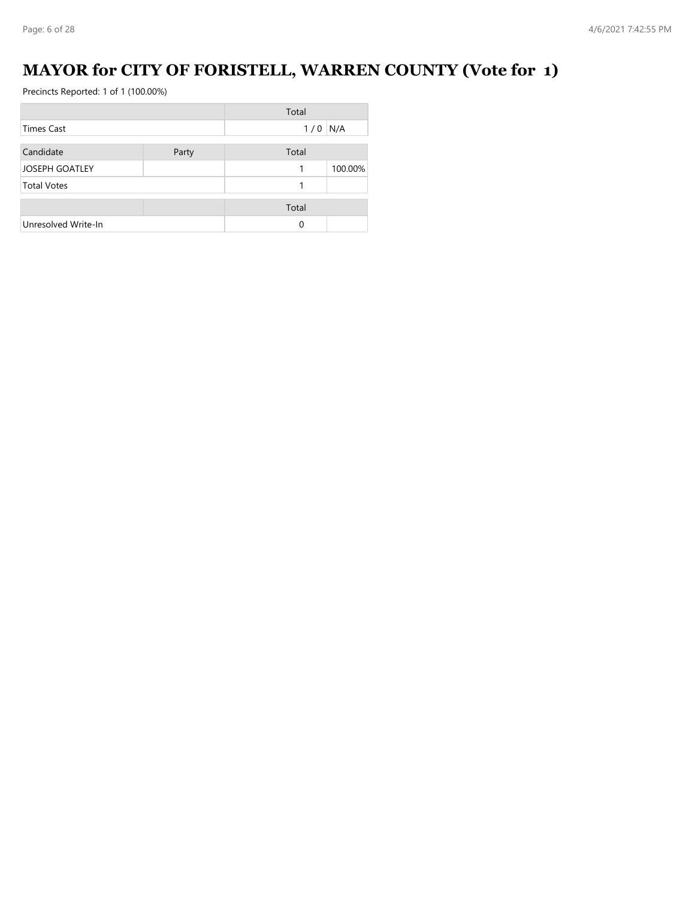## **MAYOR for CITY OF FORISTELL, WARREN COUNTY (Vote for 1)**

|                       |       | Total |         |
|-----------------------|-------|-------|---------|
| Times Cast            |       | 1/0   | N/A     |
| Candidate             | Party | Total |         |
| <b>JOSEPH GOATLEY</b> |       | 1     | 100.00% |
| <b>Total Votes</b>    |       |       |         |
|                       |       | Total |         |
| Unresolved Write-In   |       | 0     |         |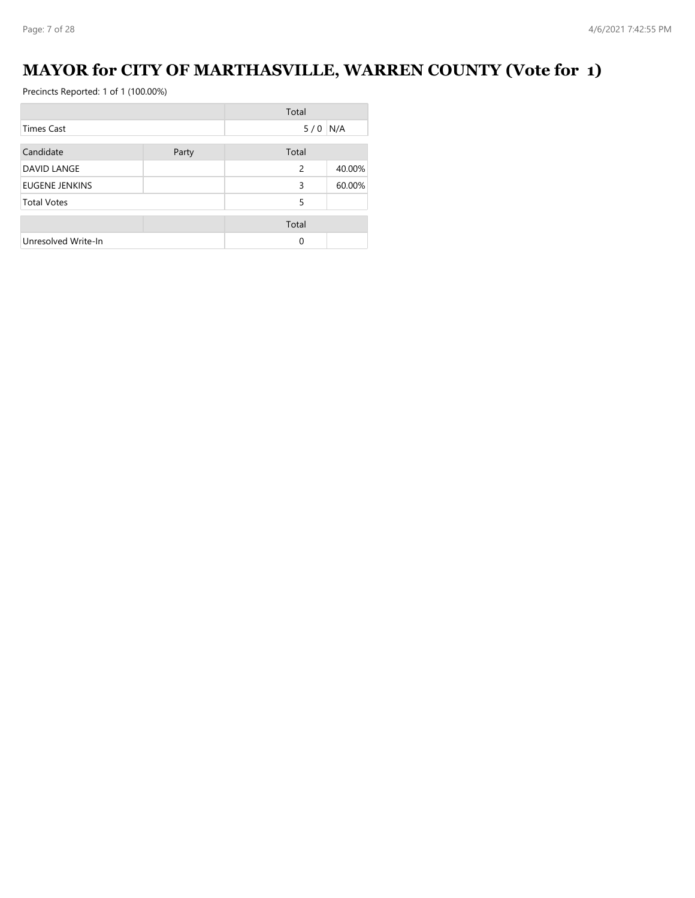## **MAYOR for CITY OF MARTHASVILLE, WARREN COUNTY (Vote for 1)**

|                     |       | Total     |        |
|---------------------|-------|-----------|--------|
| Times Cast          |       | $5/0$ N/A |        |
| Candidate           | Party | Total     |        |
| DAVID LANGE         |       | 2         | 40.00% |
| EUGENE JENKINS      |       | 3         | 60.00% |
| <b>Total Votes</b>  |       | 5         |        |
|                     |       | Total     |        |
| Unresolved Write-In |       | $\Omega$  |        |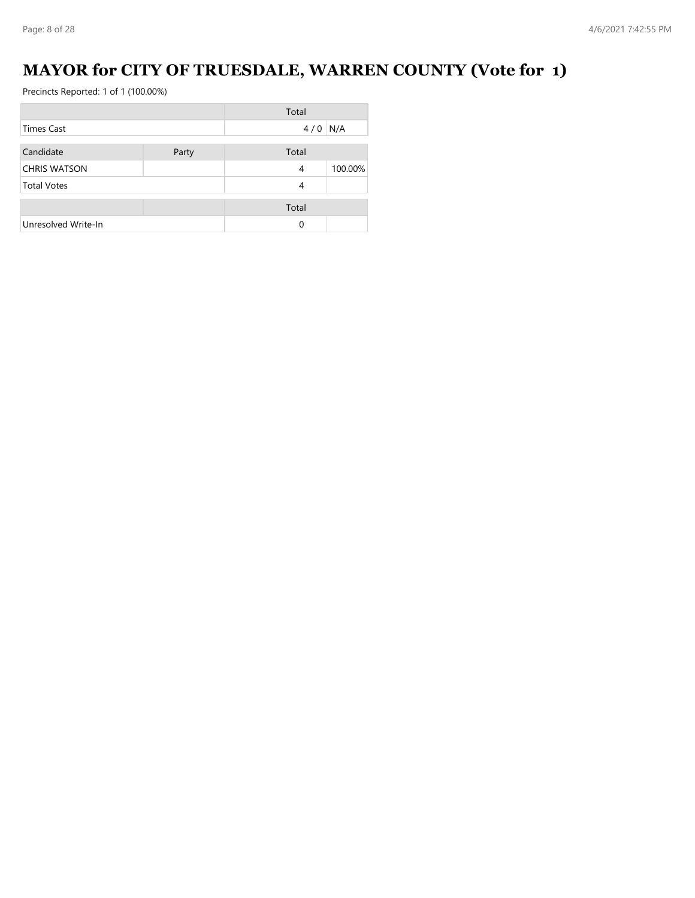## **MAYOR for CITY OF TRUESDALE, WARREN COUNTY (Vote for 1)**

|                     |       | Total |         |
|---------------------|-------|-------|---------|
| Times Cast          |       | 4/0   | N/A     |
| Candidate           | Party | Total |         |
| <b>CHRIS WATSON</b> |       | 4     | 100.00% |
| <b>Total Votes</b>  |       | 4     |         |
|                     |       | Total |         |
| Unresolved Write-In |       | 0     |         |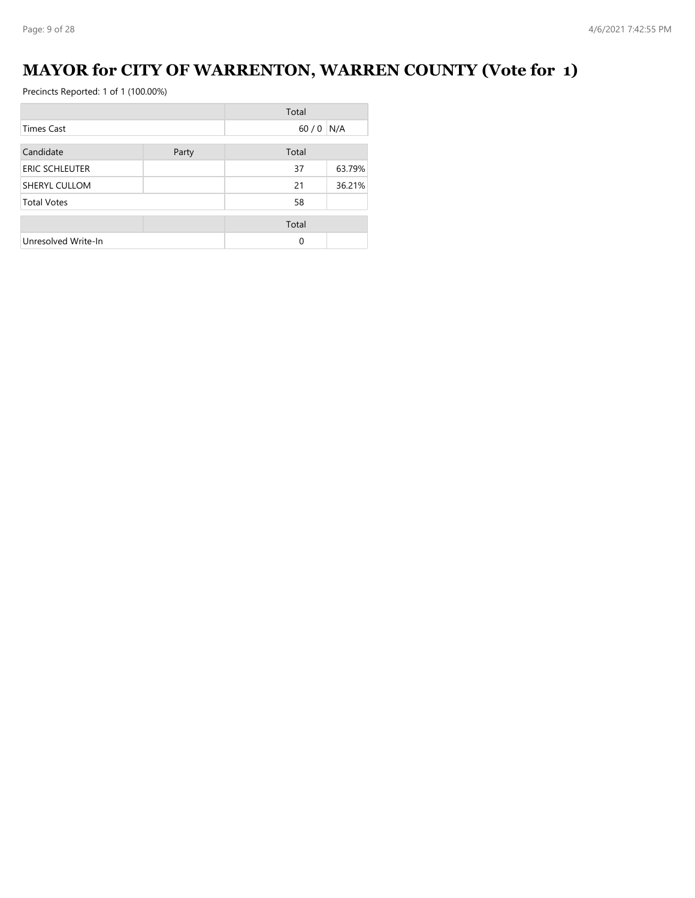## **MAYOR for CITY OF WARRENTON, WARREN COUNTY (Vote for 1)**

|                       |       | Total    |        |
|-----------------------|-------|----------|--------|
| Times Cast            |       | 60/0     | N/A    |
| Candidate             | Party | Total    |        |
| <b>ERIC SCHLEUTER</b> |       | 37       | 63.79% |
| SHERYL CULLOM         |       | 21       | 36.21% |
| <b>Total Votes</b>    |       | 58       |        |
|                       |       | Total    |        |
| Unresolved Write-In   |       | $\Omega$ |        |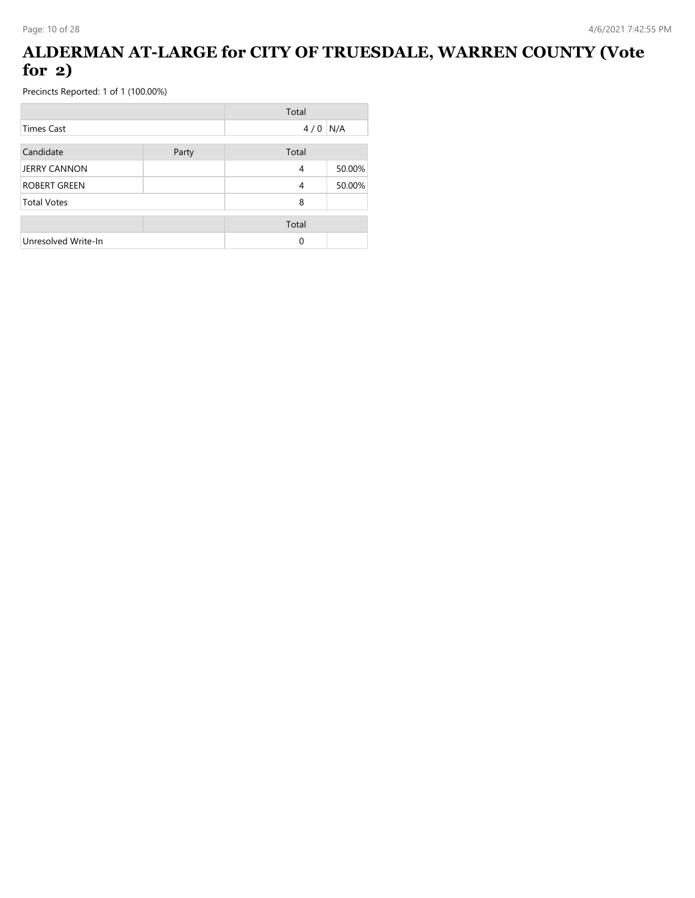### **ALDERMAN AT-LARGE for CITY OF TRUESDALE, WARREN COUNTY (Vote for 2)**

|                     |       | Total |        |
|---------------------|-------|-------|--------|
| Times Cast          |       | 4/0   | N/A    |
| Candidate           | Party | Total |        |
| <b>JERRY CANNON</b> |       | 4     | 50.00% |
| <b>ROBERT GREEN</b> |       | 4     | 50.00% |
| <b>Total Votes</b>  |       | 8     |        |
|                     |       | Total |        |
| Unresolved Write-In |       | 0     |        |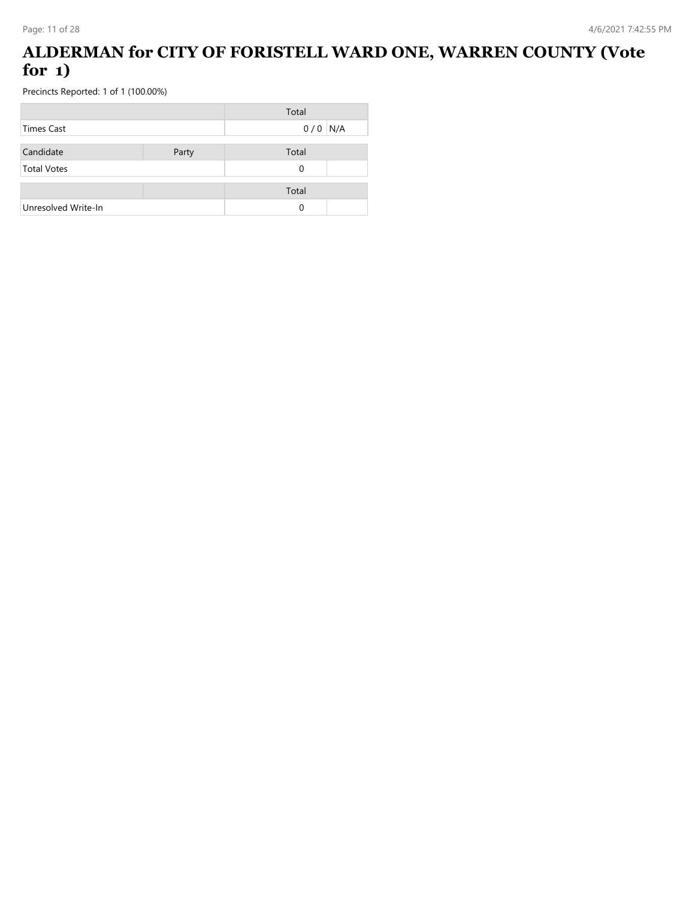### **ALDERMAN for CITY OF FORISTELL WARD ONE, WARREN COUNTY (Vote for 1)**

|                     |       | Total     |  |
|---------------------|-------|-----------|--|
| Times Cast          |       | $0/0$ N/A |  |
|                     |       |           |  |
| Candidate           | Party | Total     |  |
| <b>Total Votes</b>  |       | 0         |  |
|                     |       |           |  |
|                     |       | Total     |  |
| Unresolved Write-In |       | 0         |  |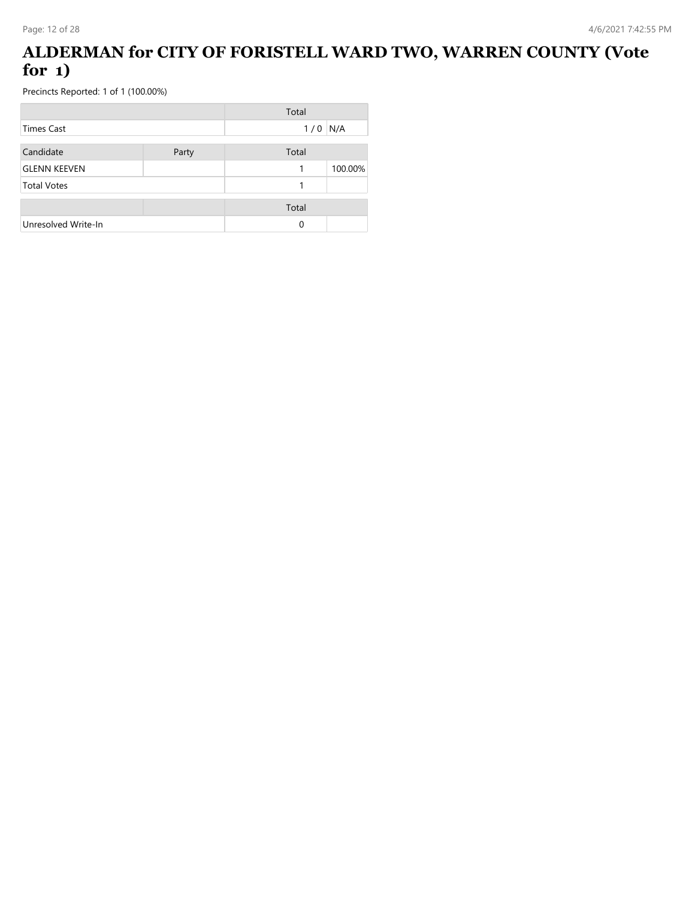### **ALDERMAN for CITY OF FORISTELL WARD TWO, WARREN COUNTY (Vote for 1)**

|                     |       | Total |         |
|---------------------|-------|-------|---------|
| <b>Times Cast</b>   |       | 1/0   | N/A     |
| Candidate           | Party | Total |         |
| <b>GLENN KEEVEN</b> |       | 1     | 100.00% |
| <b>Total Votes</b>  |       |       |         |
|                     |       | Total |         |
| Unresolved Write-In |       | 0     |         |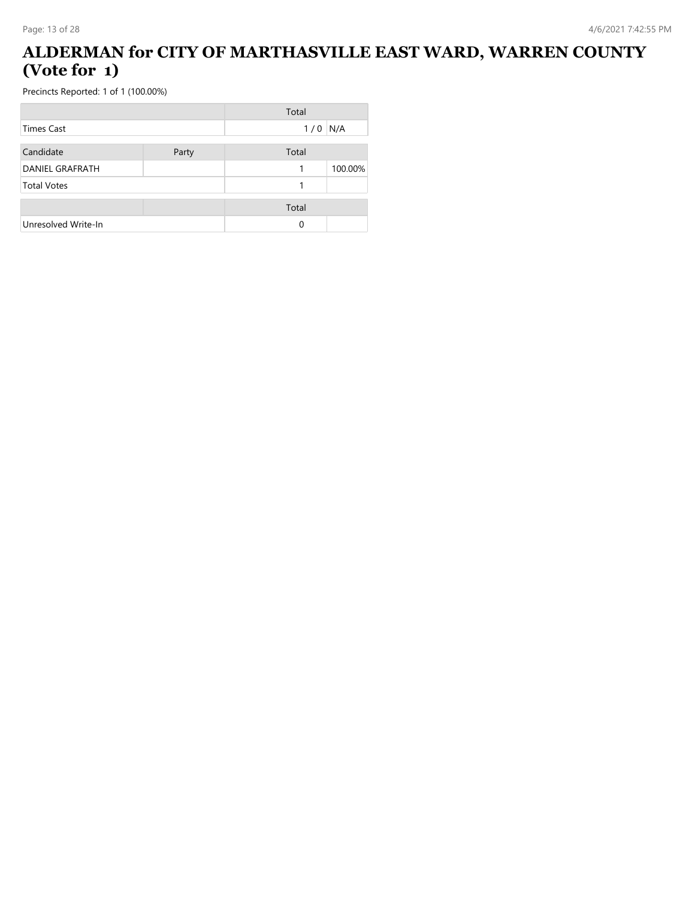#### **ALDERMAN for CITY OF MARTHASVILLE EAST WARD, WARREN COUNTY (Vote for 1)**

|                        |       | Total    |         |
|------------------------|-------|----------|---------|
| <b>Times Cast</b>      |       | 1/0      | N/A     |
| Candidate              | Party | Total    |         |
| <b>DANIEL GRAFRATH</b> |       |          | 100.00% |
| <b>Total Votes</b>     |       |          |         |
|                        |       | Total    |         |
| Unresolved Write-In    |       | $\Omega$ |         |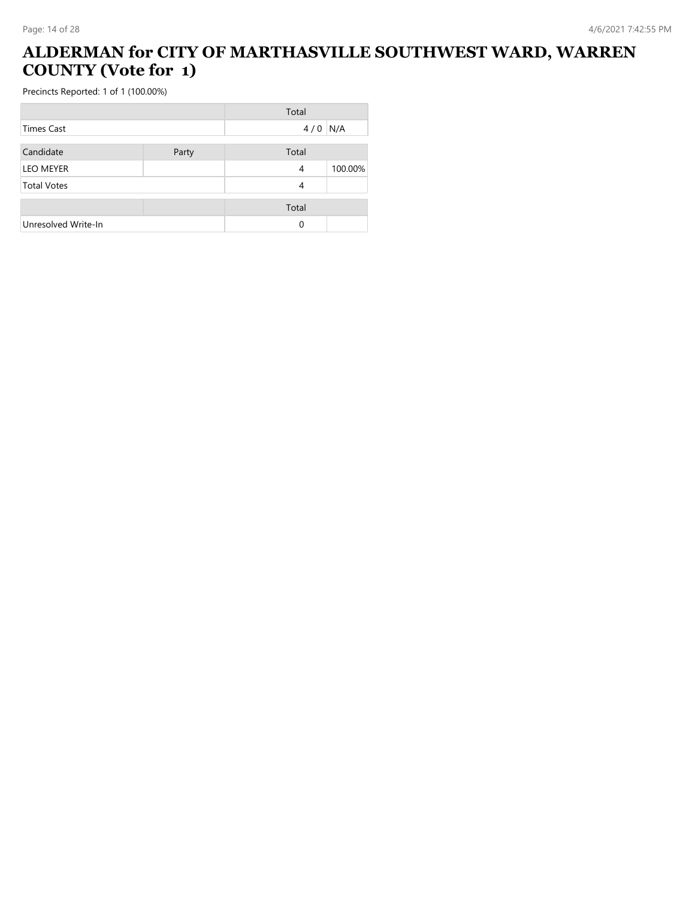## **ALDERMAN for CITY OF MARTHASVILLE SOUTHWEST WARD, WARREN COUNTY (Vote for 1)**

i.

|                     |       | Total |         |
|---------------------|-------|-------|---------|
| <b>Times Cast</b>   |       | 4/0   | N/A     |
| Candidate           | Party | Total |         |
| <b>LEO MEYER</b>    |       | 4     | 100.00% |
| <b>Total Votes</b>  |       | 4     |         |
|                     |       | Total |         |
| Unresolved Write-In |       | 0     |         |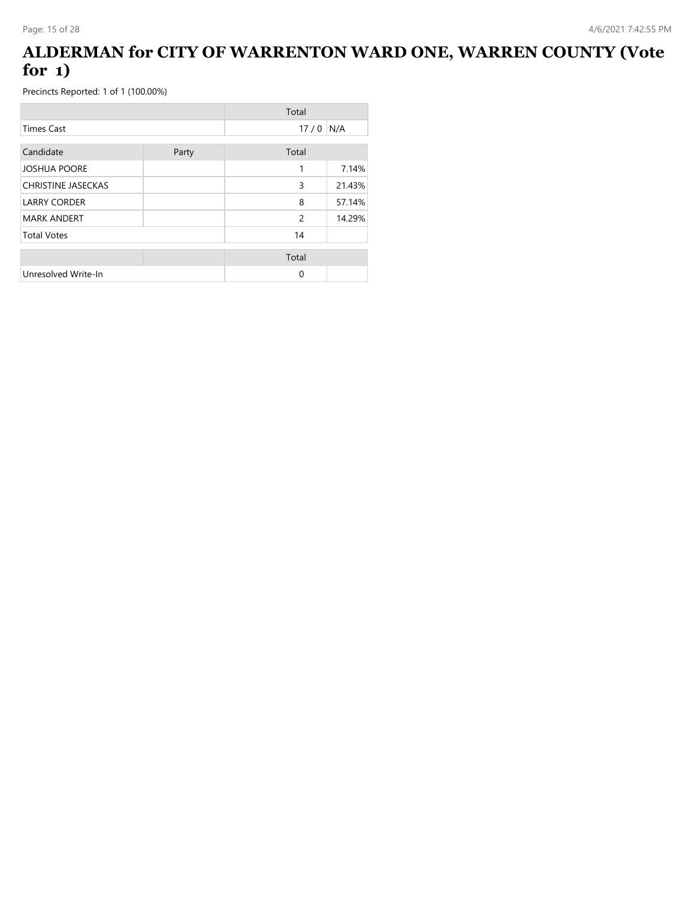### **ALDERMAN for CITY OF WARRENTON WARD ONE, WARREN COUNTY (Vote for 1)**

|                           |       | Total          |        |
|---------------------------|-------|----------------|--------|
| <b>Times Cast</b>         |       | 17/0           | N/A    |
| Candidate                 | Party | Total          |        |
| <b>JOSHUA POORE</b>       |       | 1              | 7.14%  |
| <b>CHRISTINE JASECKAS</b> |       | 3              | 21.43% |
| <b>LARRY CORDER</b>       |       | 8              | 57.14% |
| <b>MARK ANDERT</b>        |       | $\overline{c}$ | 14.29% |
| <b>Total Votes</b>        |       | 14             |        |
|                           |       | Total          |        |
| Unresolved Write-In       |       | $\Omega$       |        |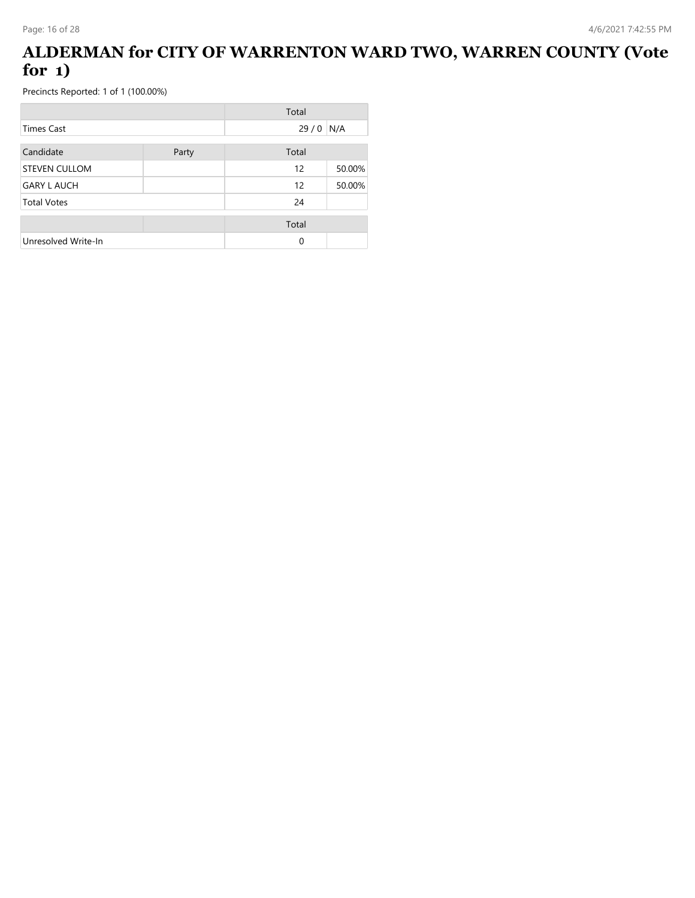### **ALDERMAN for CITY OF WARRENTON WARD TWO, WARREN COUNTY (Vote for 1)**

|                      |       | Total |        |
|----------------------|-------|-------|--------|
| Times Cast           |       | 29/0  | N/A    |
| Candidate            | Party | Total |        |
| <b>STEVEN CULLOM</b> |       | 12    | 50.00% |
| <b>GARY L AUCH</b>   |       | 12    | 50.00% |
| <b>Total Votes</b>   |       | 24    |        |
|                      |       | Total |        |
| Unresolved Write-In  |       | 0     |        |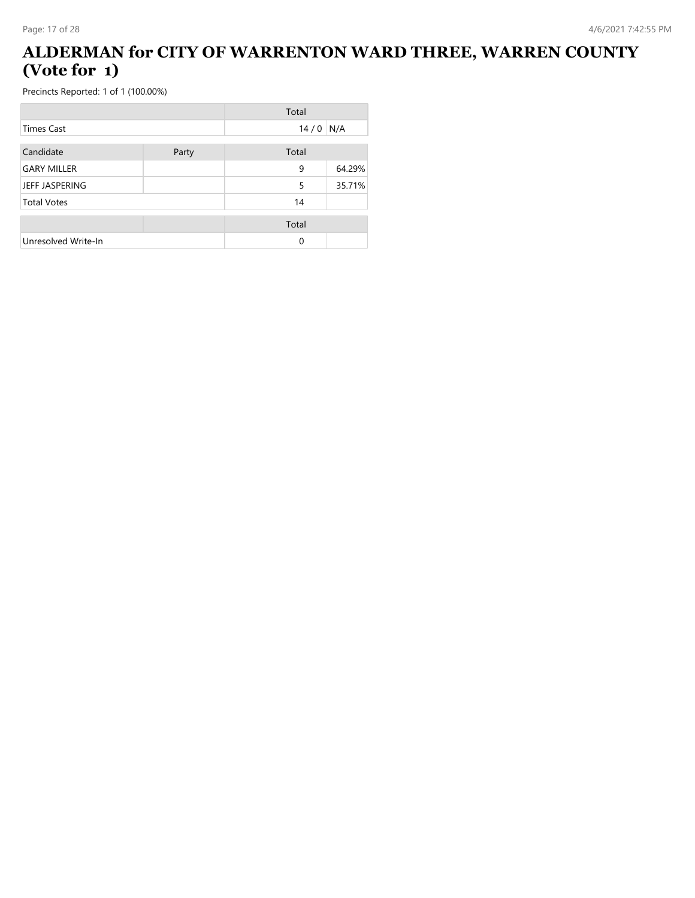### **ALDERMAN for CITY OF WARRENTON WARD THREE, WARREN COUNTY (Vote for 1)**

|                     |       | Total |        |
|---------------------|-------|-------|--------|
| Times Cast          |       | 14/0  | N/A    |
| Candidate           | Party | Total |        |
| <b>GARY MILLER</b>  |       | 9     | 64.29% |
| JEFF JASPERING      |       | 5     | 35.71% |
| <b>Total Votes</b>  |       | 14    |        |
|                     |       | Total |        |
| Unresolved Write-In |       | 0     |        |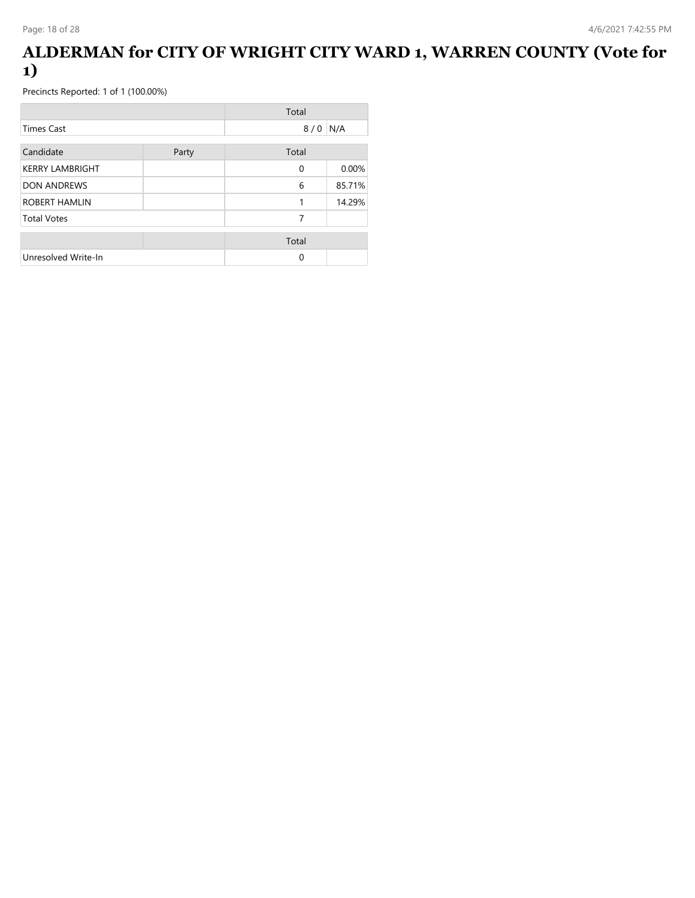#### **ALDERMAN for CITY OF WRIGHT CITY WARD 1, WARREN COUNTY (Vote for 1)**

|                        |       | Total    |        |
|------------------------|-------|----------|--------|
| Times Cast             |       | 8/0      | N/A    |
| Candidate              | Party | Total    |        |
| <b>KERRY LAMBRIGHT</b> |       | 0        | 0.00%  |
| <b>DON ANDREWS</b>     |       | 6        | 85.71% |
| ROBERT HAMLIN          |       | 1        | 14.29% |
| <b>Total Votes</b>     |       | 7        |        |
|                        |       | Total    |        |
| Unresolved Write-In    |       | $\Omega$ |        |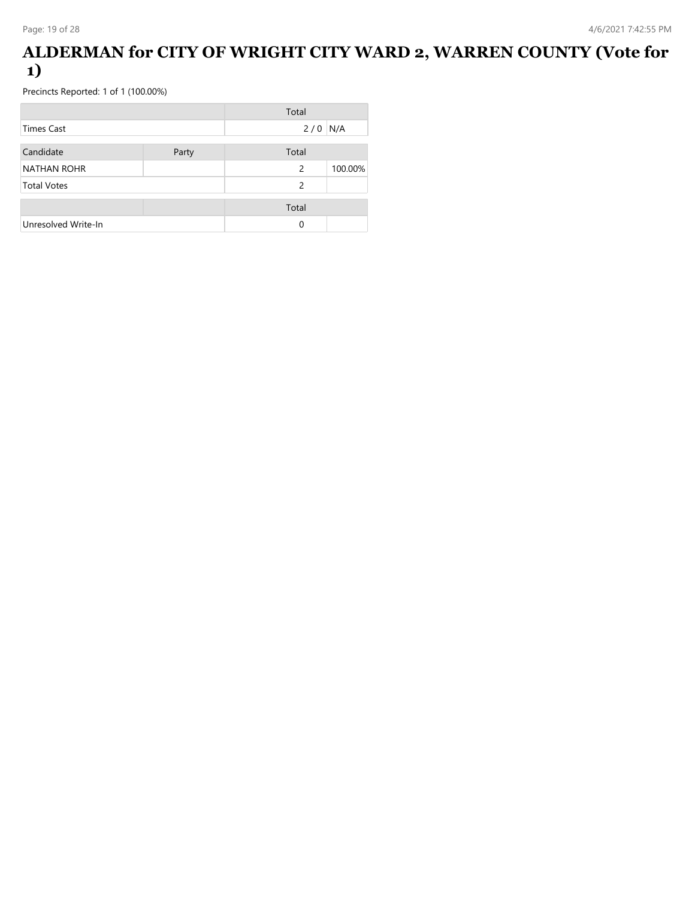### **ALDERMAN for CITY OF WRIGHT CITY WARD 2, WARREN COUNTY (Vote for 1)**

|                     |       | Total         |         |
|---------------------|-------|---------------|---------|
| <b>Times Cast</b>   |       | $2/0$ N/A     |         |
| Candidate           | Party | Total         |         |
| <b>NATHAN ROHR</b>  |       | 2             | 100.00% |
| <b>Total Votes</b>  |       | $\mathcal{P}$ |         |
|                     |       | Total         |         |
| Unresolved Write-In |       | 0             |         |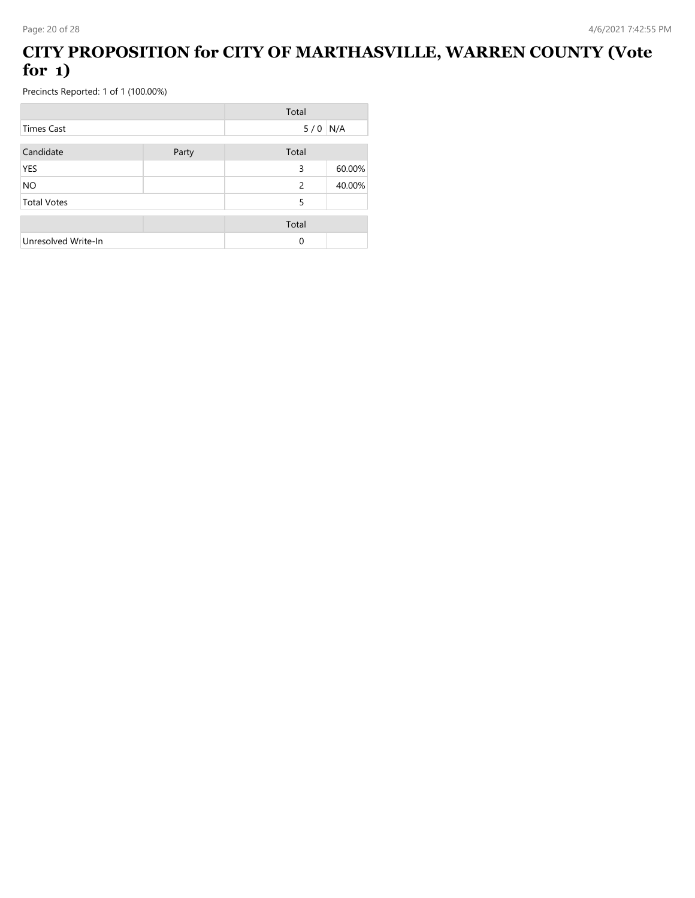### **CITY PROPOSITION for CITY OF MARTHASVILLE, WARREN COUNTY (Vote for 1)**

|                     |       | Total |        |
|---------------------|-------|-------|--------|
| <b>Times Cast</b>   |       | 5/0   | N/A    |
| Candidate           | Party | Total |        |
| YES                 |       | 3     | 60.00% |
| <b>NO</b>           |       | 2     | 40.00% |
| <b>Total Votes</b>  |       | 5     |        |
|                     |       | Total |        |
| Unresolved Write-In |       | 0     |        |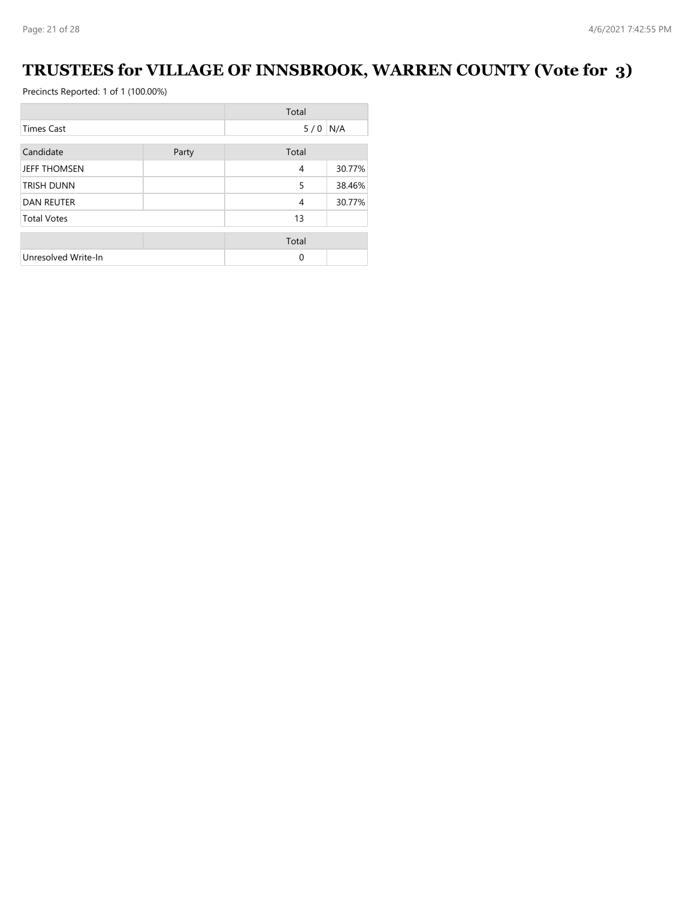## **TRUSTEES for VILLAGE OF INNSBROOK, WARREN COUNTY (Vote for 3)**

|                     |       | Total |        |
|---------------------|-------|-------|--------|
| <b>Times Cast</b>   |       | 5/0   | N/A    |
| Candidate           | Party | Total |        |
| <b>JEFF THOMSEN</b> |       | 4     | 30.77% |
| <b>TRISH DUNN</b>   |       | 5     | 38.46% |
| <b>DAN REUTER</b>   |       | 4     | 30.77% |
| <b>Total Votes</b>  |       | 13    |        |
|                     |       | Total |        |
| Unresolved Write-In |       | 0     |        |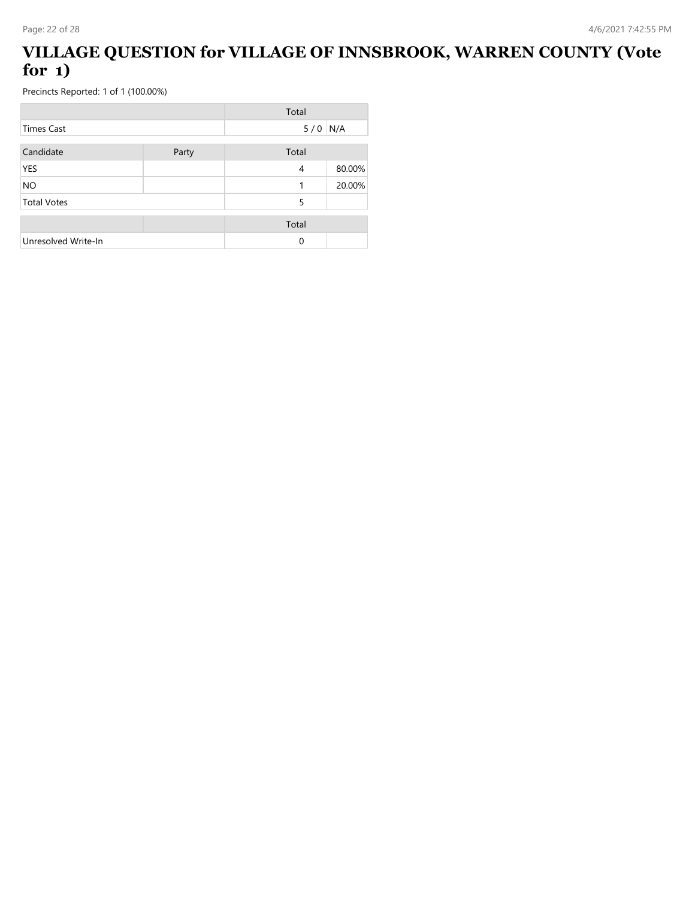### **VILLAGE QUESTION for VILLAGE OF INNSBROOK, WARREN COUNTY (Vote for 1)**

|                     |       | Total |        |
|---------------------|-------|-------|--------|
| <b>Times Cast</b>   |       | 5/0   | N/A    |
| Candidate           | Party | Total |        |
| YES                 |       | 4     | 80.00% |
| <b>NO</b>           |       | 1     | 20.00% |
| <b>Total Votes</b>  |       | 5     |        |
|                     |       | Total |        |
| Unresolved Write-In |       | 0     |        |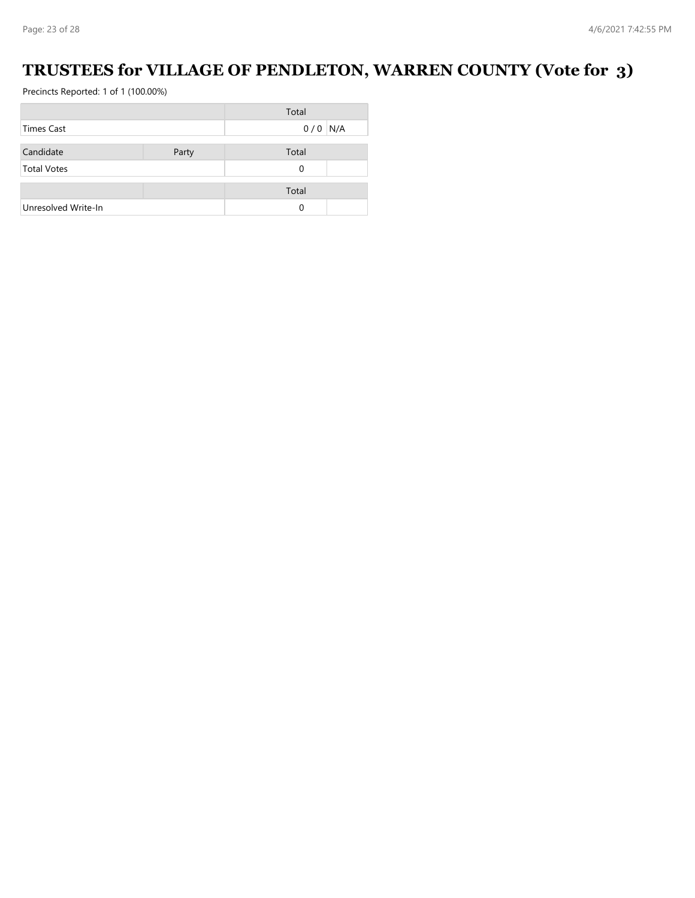## **TRUSTEES for VILLAGE OF PENDLETON, WARREN COUNTY (Vote for 3)**

|                     |       | Total     |  |
|---------------------|-------|-----------|--|
| Times Cast          |       | $0/0$ N/A |  |
|                     |       |           |  |
| Candidate           | Party | Total     |  |
| <b>Total Votes</b>  |       | 0         |  |
|                     |       |           |  |
|                     |       | Total     |  |
| Unresolved Write-In |       | 0         |  |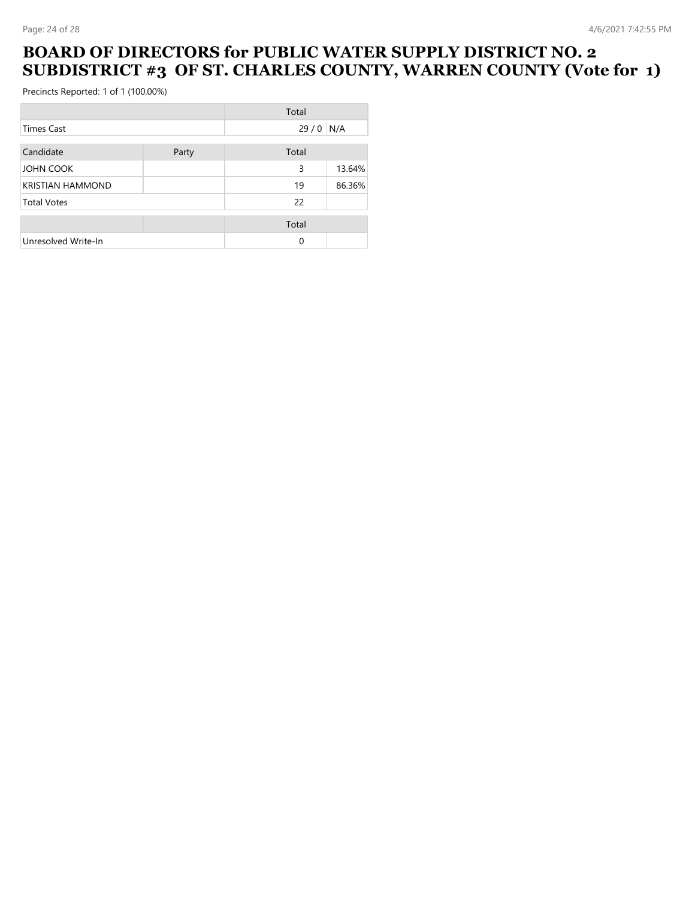#### **BOARD OF DIRECTORS for PUBLIC WATER SUPPLY DISTRICT NO. 2 SUBDISTRICT #3 OF ST. CHARLES COUNTY, WARREN COUNTY (Vote for 1)**

|                         |       | Total |        |
|-------------------------|-------|-------|--------|
| Times Cast              |       | 29/0  | N/A    |
| Candidate               | Party | Total |        |
| <b>JOHN COOK</b>        |       | 3     | 13.64% |
| <b>KRISTIAN HAMMOND</b> |       | 19    | 86.36% |
| <b>Total Votes</b>      |       | 22    |        |
|                         |       | Total |        |
| Unresolved Write-In     |       | 0     |        |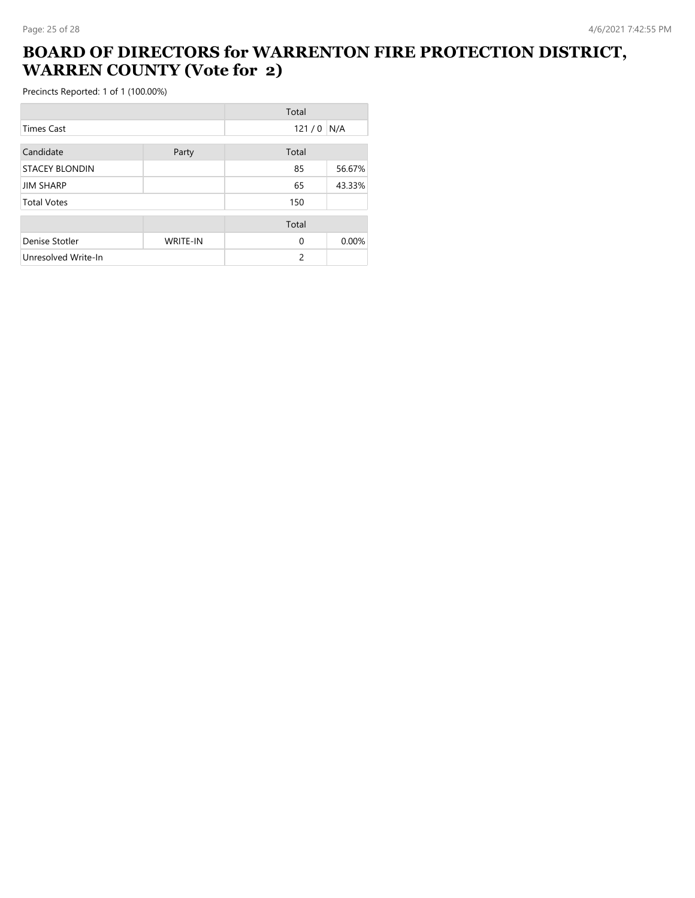### **BOARD OF DIRECTORS for WARRENTON FIRE PROTECTION DISTRICT, WARREN COUNTY (Vote for 2)**

|                       |                 | Total         |        |
|-----------------------|-----------------|---------------|--------|
| <b>Times Cast</b>     |                 | 121/0         | N/A    |
| Candidate             | Party           | Total         |        |
| <b>STACEY BLONDIN</b> |                 | 85            | 56.67% |
| <b>JIM SHARP</b>      |                 | 65            | 43.33% |
| <b>Total Votes</b>    |                 | 150           |        |
|                       |                 | Total         |        |
| Denise Stotler        | <b>WRITE-IN</b> | $\mathbf 0$   | 0.00%  |
| Unresolved Write-In   |                 | $\mathcal{P}$ |        |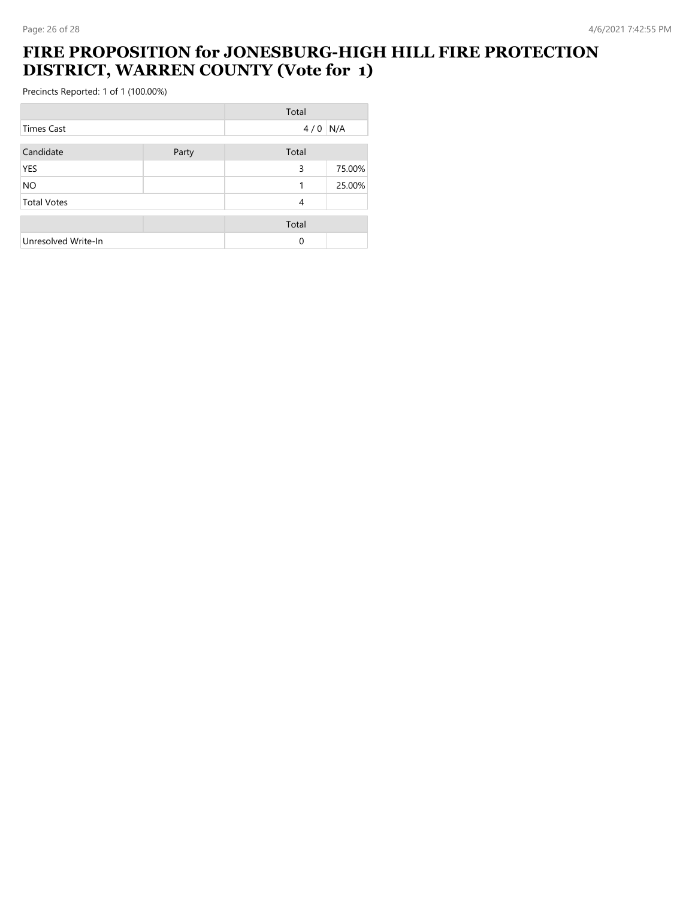#### **FIRE PROPOSITION for JONESBURG-HIGH HILL FIRE PROTECTION DISTRICT, WARREN COUNTY (Vote for 1)**

|                     |       | Total |        |
|---------------------|-------|-------|--------|
| <b>Times Cast</b>   |       | 4/0   | N/A    |
| Candidate           | Party | Total |        |
| <b>YES</b>          |       | 3     | 75.00% |
| <b>NO</b>           |       | 1     | 25.00% |
| <b>Total Votes</b>  |       | 4     |        |
|                     |       | Total |        |
| Unresolved Write-In |       | 0     |        |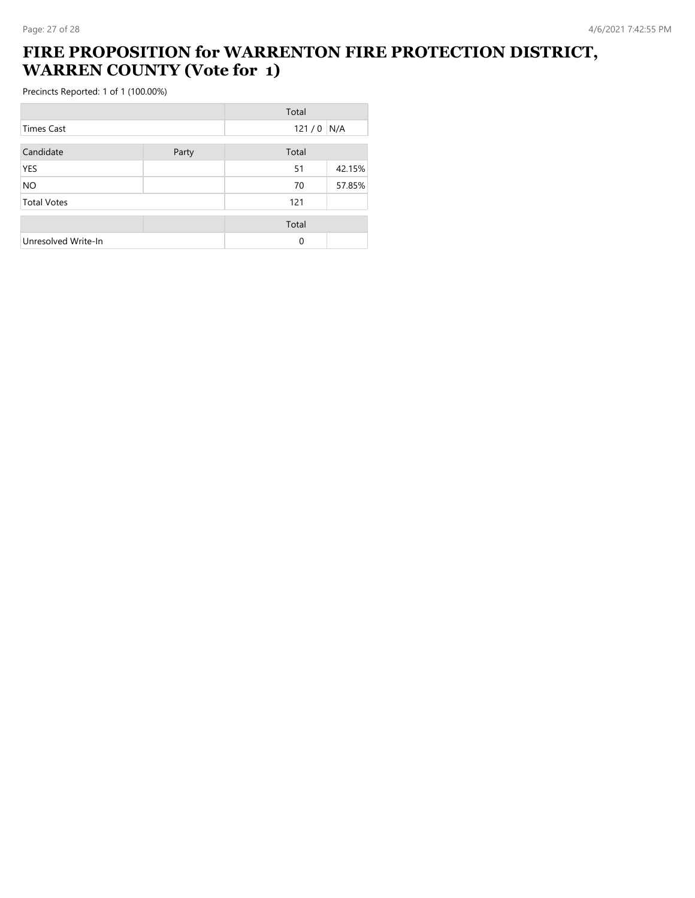## **FIRE PROPOSITION for WARRENTON FIRE PROTECTION DISTRICT, WARREN COUNTY (Vote for 1)**

|                     |       | Total       |        |
|---------------------|-------|-------------|--------|
| Times Cast          |       | $121/0$ N/A |        |
| Candidate           | Party | Total       |        |
| YES                 |       | 51          | 42.15% |
| <b>NO</b>           |       | 70          | 57.85% |
| <b>Total Votes</b>  |       | 121         |        |
|                     |       | Total       |        |
| Unresolved Write-In |       | $\Omega$    |        |